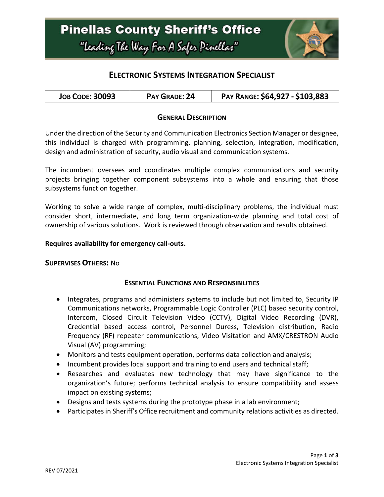

## **ELECTRONIC SYSTEMS INTEGRATION SPECIALIST**

| <b>JOB CODE: 30093</b> | PAY GRADE: 24 | PAY RANGE: \$64,927 - \$103,883 |
|------------------------|---------------|---------------------------------|
|------------------------|---------------|---------------------------------|

### **GENERAL DESCRIPTION**

Under the direction of the Security and Communication Electronics Section Manager or designee, this individual is charged with programming, planning, selection, integration, modification, design and administration of security, audio visual and communication systems.

The incumbent oversees and coordinates multiple complex communications and security projects bringing together component subsystems into a whole and ensuring that those subsystems function together.

Working to solve a wide range of complex, multi-disciplinary problems, the individual must consider short, intermediate, and long term organization-wide planning and total cost of ownership of various solutions. Work is reviewed through observation and results obtained.

### **Requires availability for emergency call-outs.**

#### **SUPERVISES OTHERS:** No

#### **ESSENTIAL FUNCTIONS AND RESPONSIBILITIES**

- Integrates, programs and administers systems to include but not limited to, Security IP Communications networks, Programmable Logic Controller (PLC) based security control, Intercom, Closed Circuit Television Video (CCTV), Digital Video Recording (DVR), Credential based access control, Personnel Duress, Television distribution, Radio Frequency (RF) repeater communications, Video Visitation and AMX/CRESTRON Audio Visual (AV) programming;
- Monitors and tests equipment operation, performs data collection and analysis;
- Incumbent provides local support and training to end users and technical staff;
- Researches and evaluates new technology that may have significance to the organization's future; performs technical analysis to ensure compatibility and assess impact on existing systems;
- Designs and tests systems during the prototype phase in a lab environment;
- Participates in Sheriff's Office recruitment and community relations activities as directed.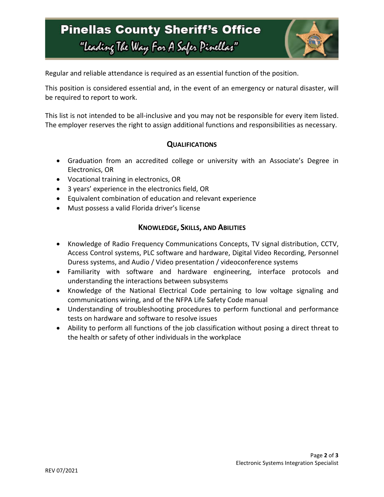# **Pinellas County Sheriff's Office** "Leading The Way For A Safer Pinellar"



Regular and reliable attendance is required as an essential function of the position.

This position is considered essential and, in the event of an emergency or natural disaster, will be required to report to work.

This list is not intended to be all-inclusive and you may not be responsible for every item listed. The employer reserves the right to assign additional functions and responsibilities as necessary.

## **QUALIFICATIONS**

- Graduation from an accredited college or university with an Associate's Degree in Electronics, OR
- Vocational training in electronics, OR
- 3 years' experience in the electronics field, OR
- Equivalent combination of education and relevant experience
- Must possess a valid Florida driver's license

### **KNOWLEDGE, SKILLS, AND ABILITIES**

- Knowledge of Radio Frequency Communications Concepts, TV signal distribution, CCTV, Access Control systems, PLC software and hardware, Digital Video Recording, Personnel Duress systems, and Audio / Video presentation / videoconference systems
- Familiarity with software and hardware engineering, interface protocols and understanding the interactions between subsystems
- Knowledge of the National Electrical Code pertaining to low voltage signaling and communications wiring, and of the NFPA Life Safety Code manual
- Understanding of troubleshooting procedures to perform functional and performance tests on hardware and software to resolve issues
- Ability to perform all functions of the job classification without posing a direct threat to the health or safety of other individuals in the workplace